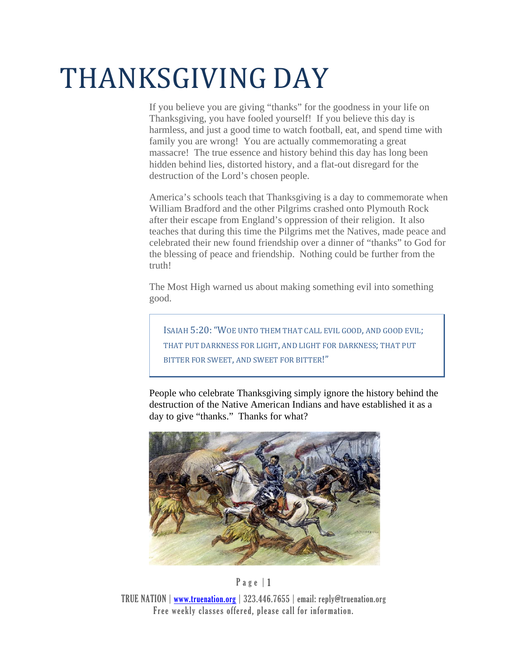## THANKSGIVING DAY

If you believe you are giving "thanks" for the goodness in your life on Thanksgiving, you have fooled yourself! If you believe this day is harmless, and just a good time to watch football, eat, and spend time with family you are wrong! You are actually commemorating a great massacre! The true essence and history behind this day has long been hidden behind lies, distorted history, and a flat-out disregard for the destruction of the Lord's chosen people.

America's schools teach that Thanksgiving is a day to commemorate when William Bradford and the other Pilgrims crashed onto Plymouth Rock after their escape from England's oppression of their religion. It also teaches that during this time the Pilgrims met the Natives, made peace and celebrated their new found friendship over a dinner of "thanks" to God for the blessing of peace and friendship. Nothing could be further from the truth!

The Most High warned us about making something evil into something good.

ISAIAH 5:20: "WOE UNTO THEM THAT CALL EVIL GOOD, AND GOOD EVIL; THAT PUT DARKNESS FOR LIGHT, AND LIGHT FOR DARKNESS; THAT PUT BITTER FOR SWEET, AND SWEET FOR BITTER!"

People who celebrate Thanksgiving simply ignore the history behind the destruction of the Native American Indians and have established it as a day to give "thanks." Thanks for what?



## P a g e | 1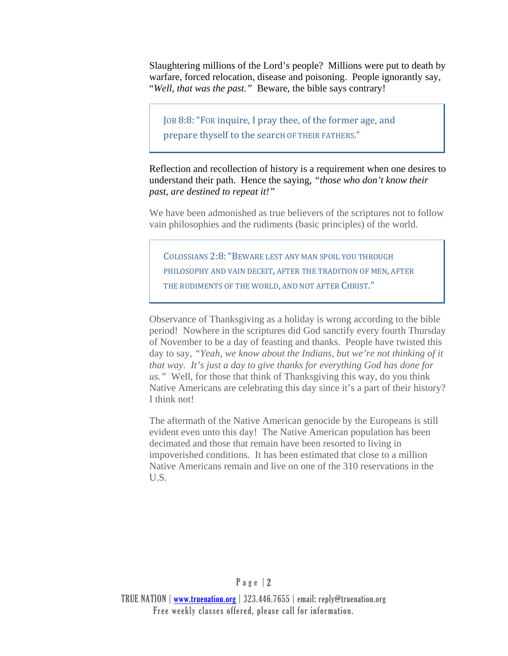Slaughtering millions of the Lord's people? Millions were put to death by warfare, forced relocation, disease and poisoning. People ignorantly say, "*Well, that was the past."* Beware, the bible says contrary!

JOB 8:8: "FOR inquire, I pray thee, of the former age, and prepare thyself to the search OF THEIR FATHERS."

Reflection and recollection of history is a requirement when one desires to understand their path. Hence the saying*, "those who don't know their past, are destined to repeat it!"*

We have been admonished as true believers of the scriptures not to follow vain philosophies and the rudiments (basic principles) of the world.

COLOSSIANS 2:8: "BEWARE LEST ANY MAN SPOIL YOU THROUGH PHILOSOPHY AND VAIN DECEIT, AFTER THE TRADITION OF MEN, AFTER THE RUDIMENTS OF THE WORLD, AND NOT AFTER CHRIST."

Observance of Thanksgiving as a holiday is wrong according to the bible period! Nowhere in the scriptures did God sanctify every fourth Thursday of November to be a day of feasting and thanks. People have twisted this day to say, *"Yeah, we know about the Indians, but we're not thinking of it that way. It's just a day to give thanks for everything God has done for us."* Well, for those that think of Thanksgiving this way, do you think Native Americans are celebrating this day since it's a part of their history? I think not!

The aftermath of the Native American genocide by the Europeans is still evident even unto this day! The Native American population has been decimated and those that remain have been resorted to living in impoverished conditions. It has been estimated that close to a million Native Americans remain and live on one of the 310 reservations in the U.S.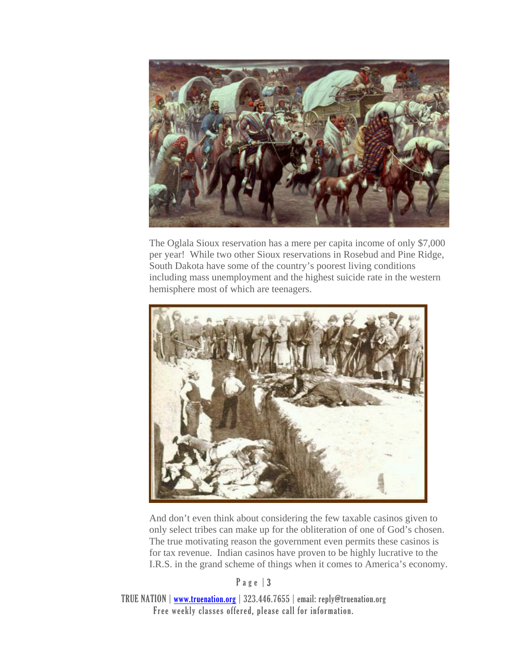

The Oglala Sioux reservation has a mere per capita income of only \$7,000 per year! While two other Sioux reservations in Rosebud and Pine Ridge, South Dakota have some of the country's poorest living conditions including mass unemployment and the highest suicide rate in the western hemisphere most of which are teenagers.



And don't even think about considering the few taxable casinos given to only select tribes can make up for the obliteration of one of God's chosen. The true motivating reason the government even permits these casinos is for tax revenue. Indian casinos have proven to be highly lucrative to the I.R.S. in the grand scheme of things when it comes to America's economy.

P a g e | 3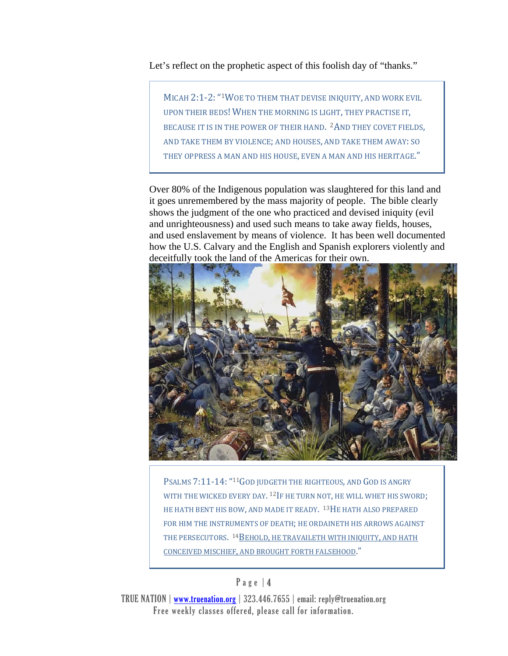Let's reflect on the prophetic aspect of this foolish day of "thanks."

MICAH 2:1-2: "<sup>1</sup>WOE TO THEM THAT DEVISE INIQUITY, AND WORK EVIL UPON THEIR BEDS! WHEN THE MORNING IS LIGHT, THEY PRACTISE IT, BECAUSE IT IS IN THE POWER OF THEIR HAND. <sup>2</sup>AND THEY COVET FIELDS, AND TAKE THEM BY VIOLENCE; AND HOUSES, AND TAKE THEM AWAY: SO THEY OPPRESS A MAN AND HIS HOUSE, EVEN A MAN AND HIS HERITAGE."

Over 80% of the Indigenous population was slaughtered for this land and it goes unremembered by the mass majority of people. The bible clearly shows the judgment of the one who practiced and devised iniquity (evil and unrighteousness) and used such means to take away fields, houses, and used enslavement by means of violence. It has been well documented how the U.S. Calvary and the English and Spanish explorers violently and deceitfully took the land of the Americas for their own.



PSALMS 7:11-14: "11GOD JUDGETH THE RIGHTEOUS, AND GOD IS ANGRY WITH THE WICKED EVERY DAY.  $^{12}$ IF HE TURN NOT, HE WILL WHET HIS SWORD; HE HATH BENT HIS BOW, AND MADE IT READY. <sup>13</sup>HE HATH ALSO PREPARED FOR HIM THE INSTRUMENTS OF DEATH; HE ORDAINETH HIS ARROWS AGAINST THE PERSECUTORS. <sup>14</sup>BEHOLD, HE TRAVAILETH WITH INIQUITY, AND HATH CONCEIVED MISCHIEF, AND BROUGHT FORTH FALSEHOOD."

## P a g e | 4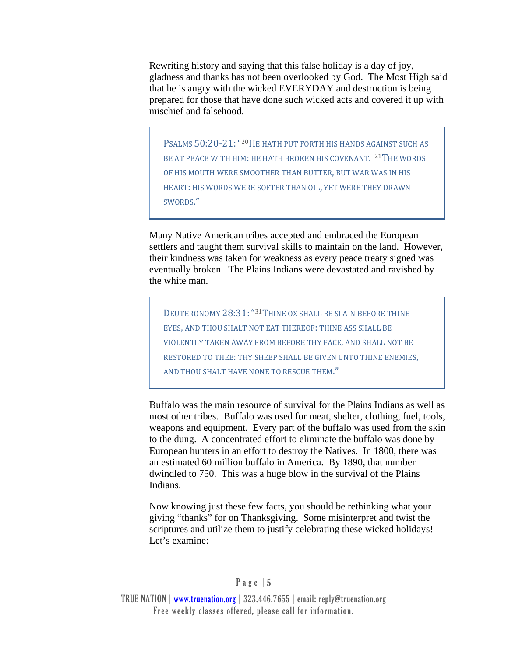Rewriting history and saying that this false holiday is a day of joy, gladness and thanks has not been overlooked by God. The Most High said that he is angry with the wicked EVERYDAY and destruction is being prepared for those that have done such wicked acts and covered it up with mischief and falsehood.

PSALMS  $50:20-21$ : "<sup>20</sup>HE HATH PUT FORTH HIS HANDS AGAINST SUCH AS BE AT PEACE WITH HIM: HE HATH BROKEN HIS COVENANT. <sup>21</sup>THE WORDS OF HIS MOUTH WERE SMOOTHER THAN BUTTER, BUT WAR WAS IN HIS HEART: HIS WORDS WERE SOFTER THAN OIL, YET WERE THEY DRAWN SWORDS." 

Many Native American tribes accepted and embraced the European settlers and taught them survival skills to maintain on the land. However, their kindness was taken for weakness as every peace treaty signed was eventually broken. The Plains Indians were devastated and ravished by the white man.

DEUTERONOMY 28:31: "31THINE OX SHALL BE SLAIN BEFORE THINE EYES, AND THOU SHALT NOT EAT THEREOF: THINE ASS SHALL BE VIOLENTLY TAKEN AWAY FROM BEFORE THY FACE, AND SHALL NOT BE RESTORED TO THEE: THY SHEEP SHALL BE GIVEN UNTO THINE ENEMIES. AND THOU SHALT HAVE NONE TO RESCUE THEM."

Buffalo was the main resource of survival for the Plains Indians as well as most other tribes. Buffalo was used for meat, shelter, clothing, fuel, tools, weapons and equipment. Every part of the buffalo was used from the skin to the dung. A concentrated effort to eliminate the buffalo was done by European hunters in an effort to destroy the Natives. In 1800, there was an estimated 60 million buffalo in America. By 1890, that number dwindled to 750. This was a huge blow in the survival of the Plains Indians.

Now knowing just these few facts, you should be rethinking what your giving "thanks" for on Thanksgiving. Some misinterpret and twist the scriptures and utilize them to justify celebrating these wicked holidays! Let's examine: